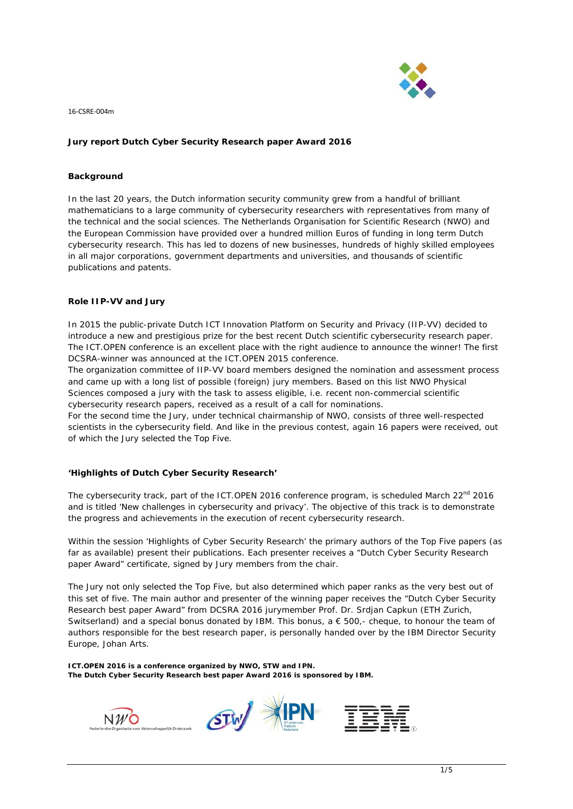

# **Jury report Dutch Cyber Security Research paper Award 2016**

#### **Background**

In the last 20 years, the Dutch information security community grew from a handful of brilliant mathematicians to a large community of cybersecurity researchers with representatives from many of the technical and the social sciences. The Netherlands Organisation for Scientific Research (NWO) and the European Commission have provided over a hundred million Euros of funding in long term Dutch cybersecurity research. This has led to dozens of new businesses, hundreds of highly skilled employees in all major corporations, government departments and universities, and thousands of scientific publications and patents.

#### **Role IIP-VV and Jury**

In 2015 the public-private Dutch ICT Innovation Platform on Security and Privacy (IIP-VV) decided to introduce a new and prestigious prize for the best recent Dutch scientific cybersecurity research paper. The ICT.OPEN conference is an excellent place with the right audience to announce the winner! The first DCSRA-winner was announced at the ICT.OPEN 2015 conference.

The organization committee of IIP-VV board members designed the nomination and assessment process and came up with a long list of possible (foreign) jury members. Based on this list NWO Physical Sciences composed a jury with the task to assess eligible, i.e. recent non-commercial scientific cybersecurity research papers, received as a result of a call for nominations.

For the second time the Jury, under technical chairmanship of NWO, consists of three well-respected scientists in the cybersecurity field. And like in the previous contest, again 16 papers were received, out of which the Jury selected the Top Five.

## **'Highlights of Dutch Cyber Security Research'**

The cybersecurity track, part of the ICT.OPEN 2016 conference program, is scheduled March  $22<sup>nd</sup>$  2016 and is titled '*New challenges in cybersecurity and privacy*'. The objective of this track is to demonstrate the progress and achievements in the execution of recent cybersecurity research.

Within the session '*Highlights of Cyber Security Research*' the primary authors of the Top Five papers (as far as available) present their publications. Each presenter receives a "Dutch Cyber Security Research paper Award" certificate, signed by Jury members from the chair.

The Jury not only selected the Top Five, but also determined which paper ranks as the very best out of this set of five. The main author and presenter of the winning paper receives the "Dutch Cyber Security Research best paper Award" from DCSRA 2016 jurymember Prof. Dr. Srdjan Capkun (ETH Zurich, Switserland) and a special bonus donated by IBM. This bonus,  $a \in 500$ ,- cheque, to honour the team of authors responsible for the best research paper, is personally handed over by the IBM Director Security Europe, Johan Arts.

**ICT.OPEN 2016 is a conference organized by NWO, STW and IPN. The Dutch Cyber Security Research best paper Award 2016 is sponsored by IBM.**



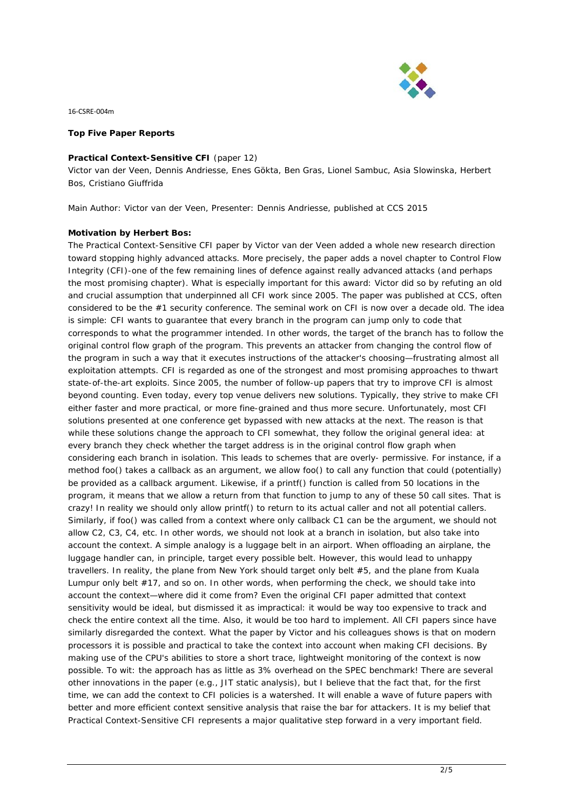

## **Top Five Paper Reports**

#### **Practical Context-Sensitive CFI** (paper 12)

*Victor van der Veen, Dennis Andriesse, Enes Gökta, Ben Gras, Lionel Sambuc, Asia Slowinska, Herbert Bos, Cristiano Giuffrida*

*Main Author: Victor van der Veen, Presenter: Dennis Andriesse, published at CCS 2015*

## **Motivation by Herbert Bos:**

The Practical Context-Sensitive CFI paper by Victor van der Veen added a whole new research direction toward stopping highly advanced attacks. More precisely, the paper adds a novel chapter to Control Flow Integrity (CFI)-one of the few remaining lines of defence against really advanced attacks (and perhaps the most promising chapter). What is especially important for this award: Victor did so by refuting an old and crucial assumption that underpinned all CFI work since 2005. The paper was published at CCS, often considered to be the #1 security conference. The seminal work on CFI is now over a decade old. The idea is simple: CFI wants to guarantee that every branch in the program can jump only to code that corresponds to what the programmer intended. In other words, the target of the branch has to follow the original control flow graph of the program. This prevents an attacker from changing the control flow of the program in such a way that it executes instructions of the attacker's choosing—frustrating almost all exploitation attempts. CFI is regarded as one of the strongest and most promising approaches to thwart state-of-the-art exploits. Since 2005, the number of follow-up papers that try to improve CFI is almost beyond counting. Even today, every top venue delivers new solutions. Typically, they strive to make CFI either faster and more practical, or more fine-grained and thus more secure. Unfortunately, most CFI solutions presented at one conference get bypassed with new attacks at the next. The reason is that while these solutions change the approach to CFI somewhat, they follow the original general idea: at every branch they check whether the target address is in the original control flow graph when considering each branch in isolation. This leads to schemes that are overly- permissive. For instance, if a method foo() takes a callback as an argument, we allow foo() to call any function that could (potentially) be provided as a callback argument. Likewise, if a printf() function is called from 50 locations in the program, it means that we allow a return from that function to jump to any of these 50 call sites. That is crazy! In reality we should only allow printf() to return to its actual caller and not all potential callers. Similarly, if foo() was called from a context where only callback C1 can be the argument, we should not allow C2, C3, C4, etc. In other words, we should not look at a branch in isolation, but also take into account the context. A simple analogy is a luggage belt in an airport. When offloading an airplane, the luggage handler can, in principle, target every possible belt. However, this would lead to unhappy travellers. In reality, the plane from New York should target only belt #5, and the plane from Kuala Lumpur only belt #17, and so on. In other words, when performing the check, we should take into account the context—where did it come from? Even the original CFI paper admitted that context sensitivity would be ideal, but dismissed it as impractical: it would be way too expensive to track and check the entire context all the time. Also, it would be too hard to implement. All CFI papers since have similarly disregarded the context. What the paper by Victor and his colleagues shows is that on modern processors it is possible and practical to take the context into account when making CFI decisions. By making use of the CPU's abilities to store a short trace, lightweight monitoring of the context is now possible. To wit: the approach has as little as 3% overhead on the SPEC benchmark! There are several other innovations in the paper (e.g., JIT static analysis), but I believe that the fact that, for the first time, we can add the context to CFI policies is a watershed. It will enable a wave of future papers with better and more efficient context sensitive analysis that raise the bar for attackers. It is my belief that Practical Context-Sensitive CFI represents a major qualitative step forward in a very important field.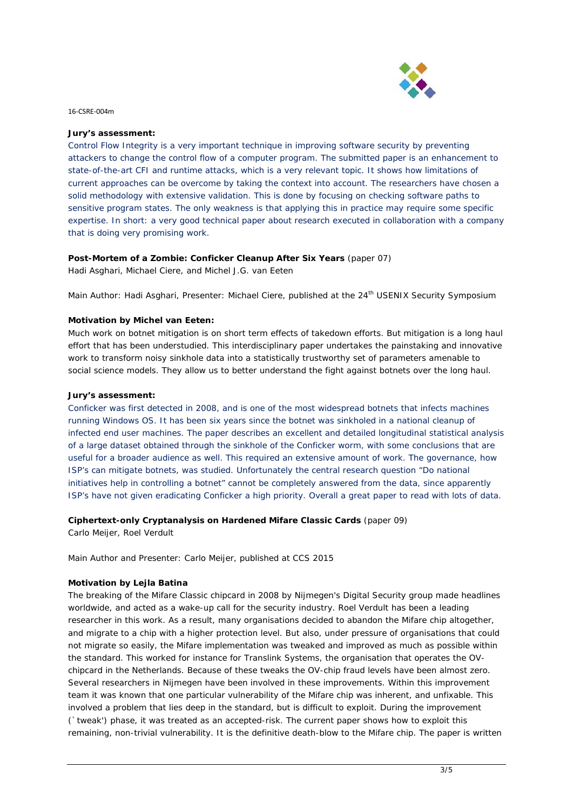

## **Jury's assessment:**

Control Flow Integrity is a very important technique in improving software security by preventing attackers to change the control flow of a computer program. The submitted paper is an enhancement to state-of-the-art CFI and runtime attacks, which is a very relevant topic. It shows how limitations of current approaches can be overcome by taking the context into account. The researchers have chosen a solid methodology with extensive validation. This is done by focusing on checking software paths to sensitive program states. The only weakness is that applying this in practice may require some specific expertise. In short: a very good technical paper about research executed in collaboration with a company that is doing very promising work.

## **Post-Mortem of a Zombie: Conficker Cleanup After Six Years** (paper 07)

*Hadi Asghari, Michael Ciere, and Michel J.G. van Eeten*

*Main Author: Hadi Asghari, Presenter: Michael Ciere, published at the 24th USENIX Security Symposium*

# **Motivation by Michel van Eeten:**

Much work on botnet mitigation is on short term effects of takedown efforts. But mitigation is a long haul effort that has been understudied. This interdisciplinary paper undertakes the painstaking and innovative work to transform noisy sinkhole data into a statistically trustworthy set of parameters amenable to social science models. They allow us to better understand the fight against botnets over the long haul.

## **Jury's assessment:**

Conficker was first detected in 2008, and is one of the most widespread botnets that infects machines running Windows OS. It has been six years since the botnet was sinkholed in a national cleanup of infected end user machines. The paper describes an excellent and detailed longitudinal statistical analysis of a large dataset obtained through the sinkhole of the Conficker worm, with some conclusions that are useful for a broader audience as well. This required an extensive amount of work. The governance, how ISP's can mitigate botnets, was studied. Unfortunately the central research question "Do national initiatives help in controlling a botnet" cannot be completely answered from the data, since apparently ISP's have not given eradicating Conficker a high priority. Overall a great paper to read with lots of data.

# **Ciphertext-only Cryptanalysis on Hardened Mifare Classic Cards** (paper 09)

*Carlo Meijer, Roel Verdult*

*Main Author and Presenter: Carlo Meijer, published at CCS 2015*

# **Motivation by Lejla Batina**

The breaking of the Mifare Classic chipcard in 2008 by Nijmegen's Digital Security group made headlines worldwide, and acted as a wake-up call for the security industry. Roel Verdult has been a leading researcher in this work. As a result, many organisations decided to abandon the Mifare chip altogether, and migrate to a chip with a higher protection level. But also, under pressure of organisations that could not migrate so easily, the Mifare implementation was tweaked and improved as much as possible within the standard. This worked for instance for Translink Systems, the organisation that operates the OVchipcard in the Netherlands. Because of these tweaks the OV-chip fraud levels have been almost zero. Several researchers in Nijmegen have been involved in these improvements. Within this improvement team it was known that one particular vulnerability of the Mifare chip was inherent, and unfixable. This involved a problem that lies deep in the standard, but is difficult to exploit. During the improvement (`tweak') phase, it was treated as an accepted-risk. The current paper shows how to exploit this remaining, non-trivial vulnerability. It is the definitive death-blow to the Mifare chip. The paper is written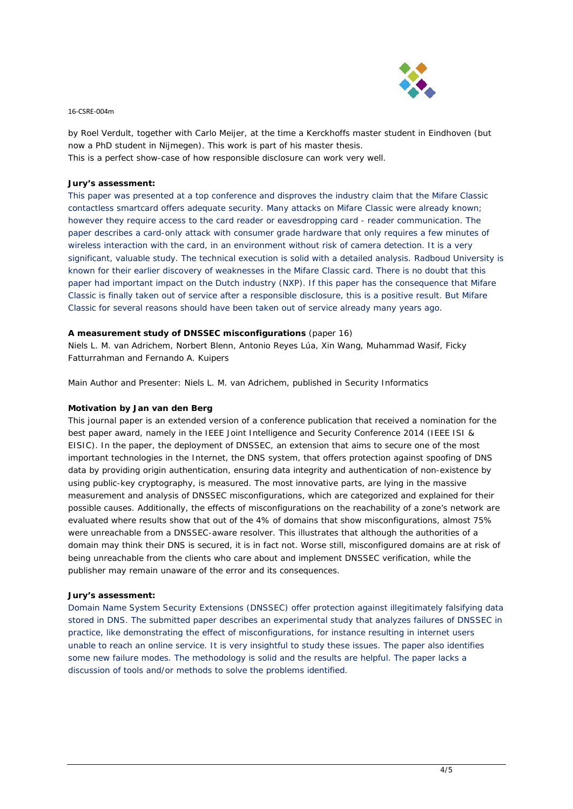

by Roel Verdult, together with Carlo Meijer, at the time a Kerckhoffs master student in Eindhoven (but now a PhD student in Nijmegen). This work is part of his master thesis. This is a perfect show-case of how responsible disclosure can work very well.

# **Jury's assessment:**

This paper was presented at a top conference and disproves the industry claim that the Mifare Classic contactless smartcard offers adequate security. Many attacks on Mifare Classic were already known; however they require access to the card reader or eavesdropping card - reader communication. The paper describes a card-only attack with consumer grade hardware that only requires a few minutes of wireless interaction with the card, in an environment without risk of camera detection. It is a very significant, valuable study. The technical execution is solid with a detailed analysis. Radboud University is known for their earlier discovery of weaknesses in the Mifare Classic card. There is no doubt that this paper had important impact on the Dutch industry (NXP). If this paper has the consequence that Mifare Classic is finally taken out of service after a responsible disclosure, this is a positive result. But Mifare Classic for several reasons should have been taken out of service already many years ago.

# **A measurement study of DNSSEC misconfigurations** (paper 16)

*Niels L. M. van Adrichem, Norbert Blenn, Antonio Reyes Lúa, Xin Wang, Muhammad Wasif, Ficky Fatturrahman and Fernando A. Kuipers*

*Main Author and Presenter: Niels L. M. van Adrichem, published in Security Informatics*

# **Motivation by Jan van den Berg**

This journal paper is an extended version of a conference publication that received a nomination for the best paper award, namely in the IEEE Joint Intelligence and Security Conference 2014 (IEEE ISI & EISIC). In the paper, the deployment of DNSSEC, an extension that aims to secure one of the most important technologies in the Internet, the DNS system, that offers protection against spoofing of DNS data by providing origin authentication, ensuring data integrity and authentication of non-existence by using public-key cryptography, is measured. The most innovative parts, are lying in the massive measurement and analysis of DNSSEC misconfigurations, which are categorized and explained for their possible causes. Additionally, the effects of misconfigurations on the reachability of a zone's network are evaluated where results show that out of the 4% of domains that show misconfigurations, almost 75% were unreachable from a DNSSEC-aware resolver. This illustrates that although the authorities of a domain may think their DNS is secured, it is in fact not. Worse still, misconfigured domains are at risk of being unreachable from the clients who care about and implement DNSSEC verification, while the publisher may remain unaware of the error and its consequences.

## **Jury's assessment:**

Domain Name System Security Extensions (DNSSEC) offer protection against illegitimately falsifying data stored in DNS. The submitted paper describes an experimental study that analyzes failures of DNSSEC in practice, like demonstrating the effect of misconfigurations, for instance resulting in internet users unable to reach an online service. It is very insightful to study these issues. The paper also identifies some new failure modes. The methodology is solid and the results are helpful. The paper lacks a discussion of tools and/or methods to solve the problems identified.